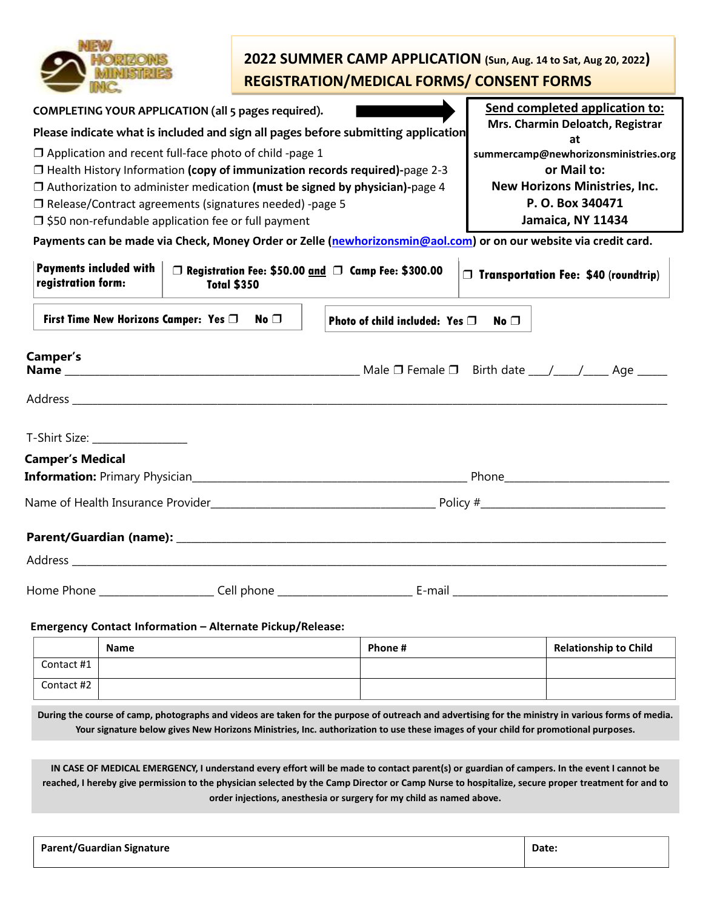|                                                                                                                                                                                                                               |                                                                                                                                                                                                                                                                                                                                                                            |              |  | 2022 SUMMER CAMP APPLICATION (Sun, Aug. 14 to Sat, Aug 20, 2022)<br><b>REGISTRATION/MEDICAL FORMS/ CONSENT FORMS</b> |                                                                                                                                             |                                             |
|-------------------------------------------------------------------------------------------------------------------------------------------------------------------------------------------------------------------------------|----------------------------------------------------------------------------------------------------------------------------------------------------------------------------------------------------------------------------------------------------------------------------------------------------------------------------------------------------------------------------|--------------|--|----------------------------------------------------------------------------------------------------------------------|---------------------------------------------------------------------------------------------------------------------------------------------|---------------------------------------------|
| COMPLETING YOUR APPLICATION (all 5 pages required).                                                                                                                                                                           |                                                                                                                                                                                                                                                                                                                                                                            |              |  |                                                                                                                      |                                                                                                                                             | Send completed application to:              |
| Please indicate what is included and sign all pages before submitting application                                                                                                                                             |                                                                                                                                                                                                                                                                                                                                                                            |              |  |                                                                                                                      |                                                                                                                                             | Mrs. Charmin Deloatch, Registrar<br>at      |
|                                                                                                                                                                                                                               | $\Box$ Application and recent full-face photo of child -page 1<br>$\Box$ Health History Information (copy of immunization records required)-page 2-3<br>$\Box$ Authorization to administer medication (must be signed by physician)-page 4<br>$\Box$ Release/Contract agreements (signatures needed) -page 5<br>$\Box$ \$50 non-refundable application fee or full payment |              |  |                                                                                                                      | summercamp@newhorizonsministries.org<br>or Mail to:<br><b>New Horizons Ministries, Inc.</b><br>P. O. Box 340471<br><b>Jamaica, NY 11434</b> |                                             |
| Payments can be made via Check, Money Order or Zelle (newhorizonsmin@aol.com) or on our website via credit card.                                                                                                              |                                                                                                                                                                                                                                                                                                                                                                            |              |  |                                                                                                                      |                                                                                                                                             |                                             |
| <b>Payments included with</b><br>registration form:                                                                                                                                                                           | <b>Total \$350</b>                                                                                                                                                                                                                                                                                                                                                         |              |  | □ Registration Fee: \$50.00 and □ Camp Fee: \$300.00                                                                 |                                                                                                                                             | $\Box$ Transportation Fee: \$40 (roundtrip) |
| First Time New Horizons Camper: Yes $\Box$                                                                                                                                                                                    |                                                                                                                                                                                                                                                                                                                                                                            | No $\square$ |  | Photo of child included: Yes $\Box$                                                                                  | No $\Box$                                                                                                                                   |                                             |
| Camper's<br><b>Name</b> $\Box$ Female $\Box$ Female $\Box$ Birth date $\Box$ Age                                                                                                                                              |                                                                                                                                                                                                                                                                                                                                                                            |              |  |                                                                                                                      |                                                                                                                                             |                                             |
| T-Shirt Size: <u>_____________________</u>                                                                                                                                                                                    |                                                                                                                                                                                                                                                                                                                                                                            |              |  |                                                                                                                      |                                                                                                                                             |                                             |
| <b>Camper's Medical</b>                                                                                                                                                                                                       |                                                                                                                                                                                                                                                                                                                                                                            |              |  |                                                                                                                      |                                                                                                                                             |                                             |
|                                                                                                                                                                                                                               |                                                                                                                                                                                                                                                                                                                                                                            |              |  |                                                                                                                      |                                                                                                                                             |                                             |
|                                                                                                                                                                                                                               |                                                                                                                                                                                                                                                                                                                                                                            |              |  |                                                                                                                      |                                                                                                                                             |                                             |
| Parent/Guardian (name): Name and the contract of the contract of the contract of the contract of the contract of the contract of the contract of the contract of the contract of the contract of the contract of the contract |                                                                                                                                                                                                                                                                                                                                                                            |              |  |                                                                                                                      |                                                                                                                                             |                                             |
| Address _                                                                                                                                                                                                                     |                                                                                                                                                                                                                                                                                                                                                                            |              |  |                                                                                                                      |                                                                                                                                             |                                             |
|                                                                                                                                                                                                                               |                                                                                                                                                                                                                                                                                                                                                                            |              |  |                                                                                                                      |                                                                                                                                             |                                             |
| Emergency Contact Information - Alternate Pickup/Release:                                                                                                                                                                     |                                                                                                                                                                                                                                                                                                                                                                            |              |  |                                                                                                                      |                                                                                                                                             |                                             |
| Name<br>Contact #1                                                                                                                                                                                                            |                                                                                                                                                                                                                                                                                                                                                                            |              |  | Phone #                                                                                                              |                                                                                                                                             | <b>Relationship to Child</b>                |
| Contact #2                                                                                                                                                                                                                    |                                                                                                                                                                                                                                                                                                                                                                            |              |  |                                                                                                                      |                                                                                                                                             |                                             |

**During the course of camp, photographs and videos are taken for the purpose of outreach and advertising for the ministry in various forms of media. Your signature below gives New Horizons Ministries, Inc. authorization to use these images of your child for promotional purposes.**

**IN CASE OF MEDICAL EMERGENCY, I understand every effort will be made to contact parent(s) or guardian of campers. In the event I cannot be reached, I hereby give permission to the physician selected by the Camp Director or Camp Nurse to hospitalize, secure proper treatment for and to order injections, anesthesia or surgery for my child as named above.**

| <b>Parent/Guardian Signature</b> | Date. |
|----------------------------------|-------|
|                                  |       |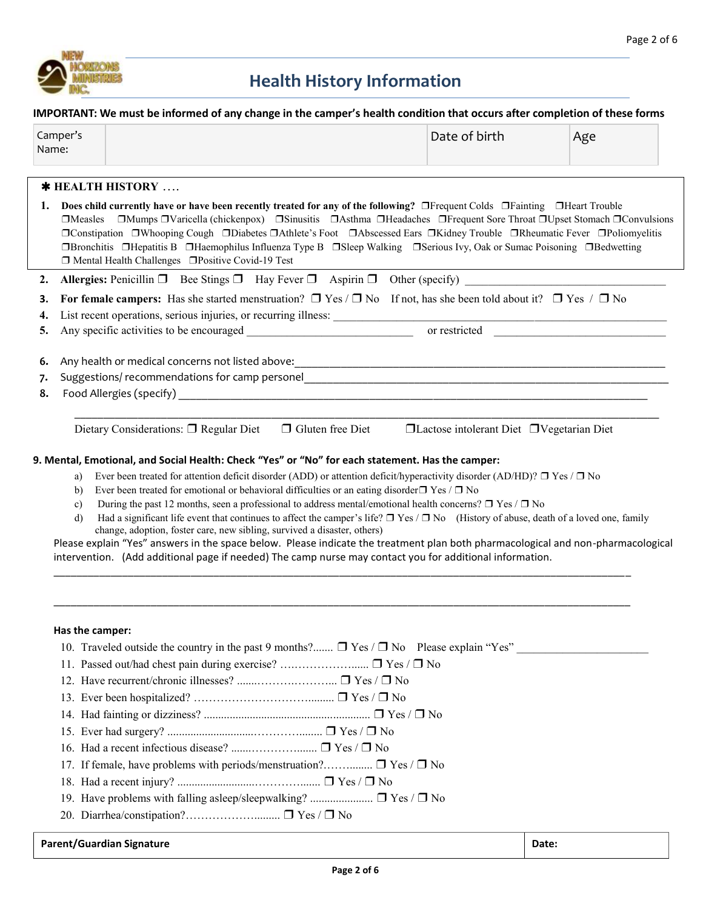

# **Health History Information**

**IMPORTANT: We must be informed of any change in the camper's health condition that occurs after completion of these forms**

| Camper's | Date of birth | Age |  |
|----------|---------------|-----|--|
| Name:    |               |     |  |

## **HEALTH HISTORY** ….

| 1.             | Does child currently have or have been recently treated for any of the following? □Frequent Colds □Fainting □Heart Trouble<br>□Measles □Mumps □Varicella (chickenpox) □Sinusitis □Asthma □Headaches □Frequent Sore Throat □Upset Stomach □Convulsions<br>□Constipation □Whooping Cough □Diabetes □Athlete's Foot □Abscessed Ears □Kidney Trouble □Rheumatic Fever □Poliomyelitis<br>□Bronchitis □Hepatitis B □Haemophilus Influenza Type B □Sleep Walking □Serious Ivy, Oak or Sumac Poisoning □Bedwetting<br>$\Box$ Mental Health Challenges $\Box$ Positive Covid-19 Test |
|----------------|-----------------------------------------------------------------------------------------------------------------------------------------------------------------------------------------------------------------------------------------------------------------------------------------------------------------------------------------------------------------------------------------------------------------------------------------------------------------------------------------------------------------------------------------------------------------------------|
| 2.             | <b>Allergies:</b> Penicillin $\Box$ Bee Stings $\Box$ Hay Fever $\Box$ Aspirin $\Box$ Other (specify)                                                                                                                                                                                                                                                                                                                                                                                                                                                                       |
| З.             | For female campers: Has she started menstruation? $\Box$ Yes / $\Box$ No If not, has she been told about it? $\Box$ Yes / $\Box$ No                                                                                                                                                                                                                                                                                                                                                                                                                                         |
| 4.             | List recent operations, serious injuries, or recurring illness:                                                                                                                                                                                                                                                                                                                                                                                                                                                                                                             |
| 5.             | or restricted<br>Any specific activities to be encouraged                                                                                                                                                                                                                                                                                                                                                                                                                                                                                                                   |
| 6.<br>7.<br>8. | Any health or medical concerns not listed above:<br>Suggestions/ recommendations for camp personel Superson and Supersoners and Supersoners and Supersoners and Su                                                                                                                                                                                                                                                                                                                                                                                                          |
|                | $\Box$ Gluten free Diet<br>$\Box$ Lactose intolerant Diet $\Box$ Vegetarian Diet<br>Dietary Considerations: $\Box$ Regular Diet<br>9. Mental, Emotional, and Social Health: Check "Yes" or "No" for each statement. Has the camper:<br>a) Ever been treated for attention deficit disorder (ADD) or attention deficit/hyperactivity disorder (AD/HD)? $\Box$ Yes / $\Box$ No<br>$\mathbf{h}$ Ever been treated for emotional or behavioral difficulties or an esting disorder $\mathbf{V}_{\mathbf{a}\mathbf{c}}$ ( $\mathbf{B}$ $\mathbf{N}_{\mathbf{a}}$                  |

- b) Ever been treated for emotional or behavioral difficulties or an eating disorder $\Box$  Yes /  $\Box$  No c) During the past 12 months, seen a professional to address mental/emotional health concerns?  $\Box$  Yes /  $\Box$  No
- d) Had a significant life event that continues to affect the camper's life? ❒ Yes / ❒ No (History of abuse, death of a loved one, family change, adoption, foster care, new sibling, survived a disaster, others)

Please explain "Yes" answers in the space below. Please indicate the treatment plan both pharmacological and non-pharmacological intervention. (Add additional page if needed) The camp nurse may contact you for additional information.

\_\_\_\_\_\_\_\_\_\_\_\_\_\_\_\_\_\_\_\_\_\_\_\_\_\_\_\_\_\_\_\_\_\_\_\_\_\_\_\_\_\_\_\_\_\_\_\_\_\_\_\_\_\_\_\_\_\_\_\_\_\_\_\_\_\_\_\_\_\_\_\_\_\_\_\_\_\_\_\_\_\_\_\_\_\_\_\_\_\_\_\_\_\_\_\_\_\_\_\_\_

\_\_\_\_\_\_\_\_\_\_\_\_\_\_\_\_\_\_\_\_\_\_\_\_\_\_\_\_\_\_\_\_\_\_\_\_\_\_\_\_\_\_\_\_\_\_\_\_\_\_\_\_\_\_\_\_\_\_\_\_\_\_\_\_\_\_\_\_\_\_\_\_\_\_\_\_\_\_\_\_\_\_\_\_\_\_\_\_\_\_\_\_\_\_\_\_\_\_\_\_\_

#### **Has the camper:**

| <b>Parent/Guardian Signature</b>                                                                   | Date: |
|----------------------------------------------------------------------------------------------------|-------|
|                                                                                                    |       |
|                                                                                                    |       |
| 19. Have problems with falling asleep/sleepwalking? $\Box$ Yes / $\Box$ No                         |       |
|                                                                                                    |       |
| 17. If female, have problems with periods/menstruation? $\Box$ Yes / $\Box$ No                     |       |
|                                                                                                    |       |
|                                                                                                    |       |
|                                                                                                    |       |
|                                                                                                    |       |
|                                                                                                    |       |
|                                                                                                    |       |
|                                                                                                    |       |
| 10. Traveled outside the country in the past 9 months? $\Box$ Yes / $\Box$ No Please explain "Yes" |       |
|                                                                                                    |       |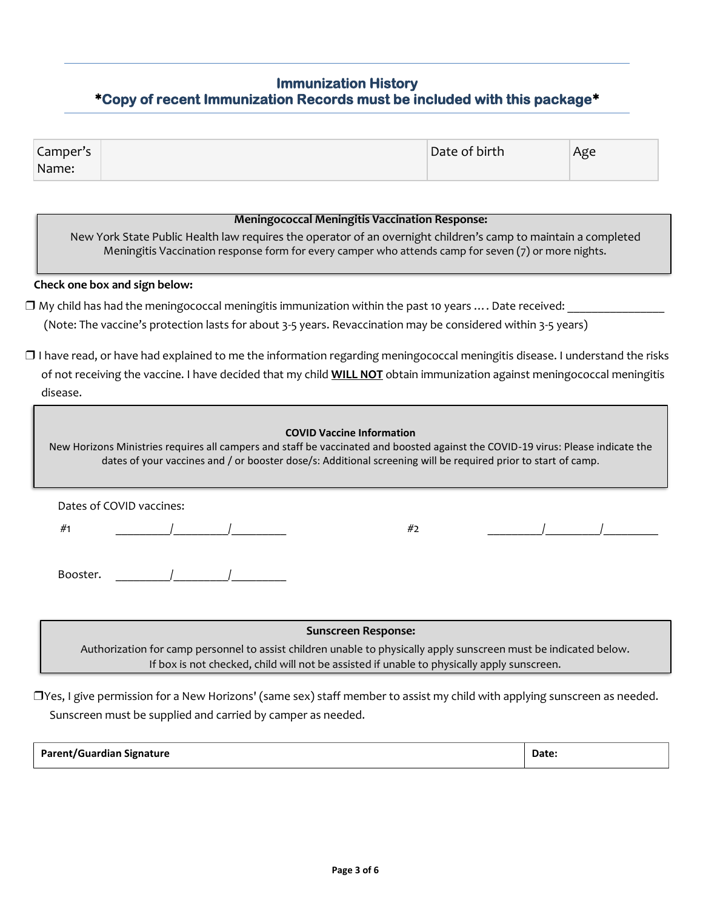# **Immunization History Copy of recent Immunization Records must be included with this package**

| Camper's | Date of birth | Age |
|----------|---------------|-----|
| Name:    |               |     |

#### **Meningococcal Meningitis Vaccination Response:**

New York State Public Health law requires the operator of an overnight children's camp to maintain a completed Meningitis Vaccination response form for every camper who attends camp for seven (7) or more nights.

#### **Check one box and sign below:**

 $\Box$  My child has had the meningococcal meningitis immunization within the past 10 years  $\dots$ . Date received:

(Note: The vaccine's protection lasts for about 3-5 years. Revaccination may be considered within 3-5 years)

❒ I have read, or have had explained to me the information regarding meningococcal meningitis disease. I understand the risks of not receiving the vaccine. I have decided that my child **WILL NOT** obtain immunization against meningococcal meningitis disease.

# **COVID Vaccine Information** New Horizons Ministries requires all campers and staff be vaccinated and boosted against the COVID-19 virus: Please indicate the dates of your vaccines and / or booster dose/s: Additional screening will be required prior to start of camp. Dates of COVID vaccines: #1 \_\_\_\_\_\_\_\_\_/\_\_\_\_\_\_\_\_\_/\_\_\_\_\_\_\_\_\_ #2 \_\_\_\_\_\_\_\_\_/\_\_\_\_\_\_\_\_\_/\_\_\_\_\_\_\_\_\_ Booster.

**Sunscreen Response:**

Authorization for camp personnel to assist children unable to physically apply sunscreen must be indicated below. If box is not checked, child will not be assisted if unable to physically apply sunscreen.

❒Yes, I give permission for a New Horizons' (same sex) staff member to assist my child with applying sunscreen as needed. Sunscreen must be supplied and carried by camper as needed.

| <b>Parent/Guardian Signature</b> | Date: |
|----------------------------------|-------|
|----------------------------------|-------|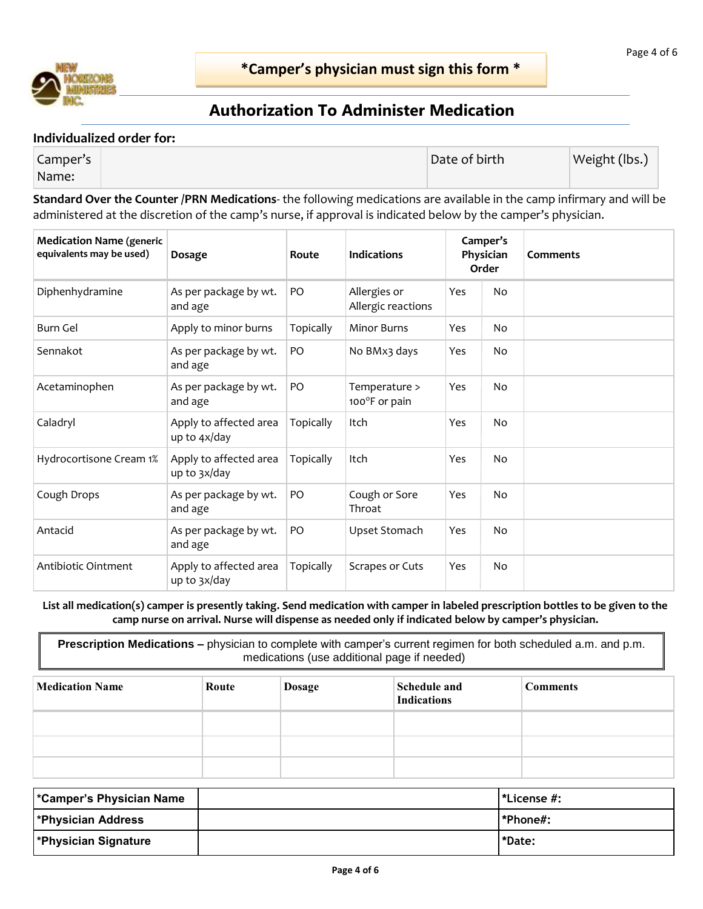

ì

# **Authorization To Administer Medication**

#### **Individualized order for:**

| Camper's | Date of birth | Weight (lbs.) |
|----------|---------------|---------------|
| Name:    |               |               |

**Standard Over the Counter /PRN Medications**- the following medications are available in the camp infirmary and will be administered at the discretion of the camp's nurse, if approval is indicated below by the camper's physician.

| <b>Medication Name (generic</b><br>equivalents may be used) | Dosage                                 | Route     | <b>Indications</b>                 |     | Camper's<br>Physician<br>Order | <b>Comments</b> |
|-------------------------------------------------------------|----------------------------------------|-----------|------------------------------------|-----|--------------------------------|-----------------|
| Diphenhydramine                                             | As per package by wt.<br>and age       | PO        | Allergies or<br>Allergic reactions | Yes | No                             |                 |
| Burn Gel                                                    | Apply to minor burns                   | Topically | <b>Minor Burns</b>                 | Yes | No                             |                 |
| Sennakot                                                    | As per package by wt.<br>and age       | PO        | No BMx3 days                       | Yes | No                             |                 |
| Acetaminophen                                               | As per package by wt.<br>and age       | PO        | Temperature ><br>100°F or pain     | Yes | No                             |                 |
| Caladryl                                                    | Apply to affected area<br>up to 4x/day | Topically | Itch                               | Yes | No                             |                 |
| Hydrocortisone Cream 1%                                     | Apply to affected area<br>up to 3x/day | Topically | Itch                               | Yes | N <sub>o</sub>                 |                 |
| Cough Drops                                                 | As per package by wt.<br>and age       | PO        | Cough or Sore<br>Throat            | Yes | No                             |                 |
| Antacid                                                     | As per package by wt.<br>and age       | PO        | Upset Stomach                      | Yes | No                             |                 |
| Antibiotic Ointment                                         | Apply to affected area<br>up to 3x/day | Topically | Scrapes or Cuts                    | Yes | No                             |                 |

**List all medication(s) camper is presently taking. Send medication with camper in labeled prescription bottles to be given to the camp nurse on arrival. Nurse will dispense as needed only if indicated below by camper's physician.**

**Prescription Medications –** physician to complete with camper's current regimen for both scheduled a.m. and p.m. medications (use additional page if needed)

| <b>Medication Name</b> | Route | <b>Dosage</b> | Schedule and<br><b>Indications</b> | <b>Comments</b> |
|------------------------|-------|---------------|------------------------------------|-----------------|
|                        |       |               |                                    |                 |
|                        |       |               |                                    |                 |
|                        |       |               |                                    |                 |

| <b>*Camper's Physician Name</b> | l*License #: |
|---------------------------------|--------------|
| <b>*Physician Address</b>       | l*Phone#:    |
| <b>*Physician Signature</b>     | *Date:       |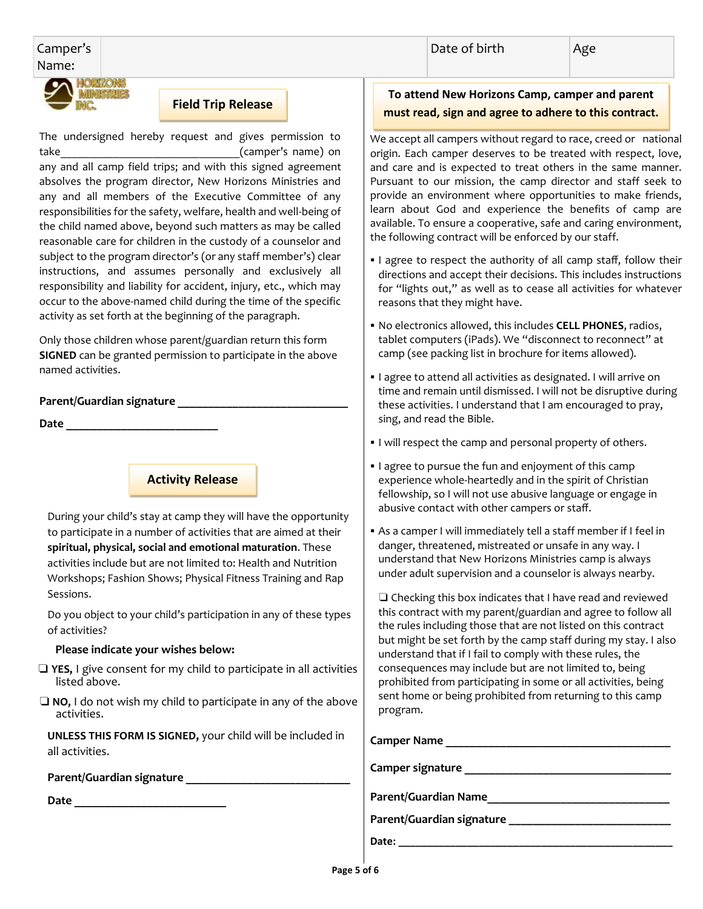Ī

#### Camper's Name:



### **Field Trip Release**

The undersigned hereby request and gives permission to take  $( \text{camper's name})$  on

any and all camp field trips; and with this signed agreement absolves the program director, New Horizons Ministries and any and all members of the Executive Committee of any responsibilities for the safety, welfare, health and well-being of the child named above, beyond such matters as may be called reasonable care for children in the custody of a counselor and subject to the program director's (or any staff member's) clear instructions, and assumes personally and exclusively all responsibility and liability for accident, injury, etc., which may occur to the above-named child during the time of the specific activity as set forth at the beginning of the paragraph.

 Only those children whose parent/guardian return this form **SIGNED** can be granted permission to participate in the above named activities.

#### **Parent/Guardian signature \_\_\_\_\_\_\_\_\_\_\_\_\_\_\_\_\_\_\_\_\_\_\_\_\_\_\_\_**

**Date \_\_\_\_\_\_\_\_\_\_\_\_\_\_\_\_\_\_\_\_\_\_\_\_\_**

# **Activity Release**

During your child's stay at camp they will have the opportunity to participate in a number of activities that are aimed at their **spiritual, physical, social and emotional maturation**. These activities include but are not limited to: Health and Nutrition Workshops; Fashion Shows; Physical Fitness Training and Rap Sessions.

Do you object to your child's participation in any of these types of activities? 

#### **Please indicate your wishes below:**

- ❏ **YES,** I give consent for my child to participate in all activities listed above.
- ❏ **NO,** I do not wish my child to participate in any of the above activities.

**UNLESS THIS FORM IS SIGNED,** your child will be included in all activities.

#### **Parent/Guardian signature \_\_\_\_\_\_\_\_\_\_\_\_\_\_\_\_\_\_\_\_\_\_\_\_\_\_\_**

**Date \_\_\_\_\_\_\_\_\_\_\_\_\_\_\_\_\_\_\_\_\_\_\_\_\_**

## **To attend New Horizons Camp, camper and parent must read, sign and agree to adhere to this contract.**

We accept all campers without regard to race, creed or national origin. Each camper deserves to be treated with respect, love, and care and is expected to treat others in the same manner. Pursuant to our mission, the camp director and staff seek to provide an environment where opportunities to make friends, learn about God and experience the benefits of camp are available. To ensure a cooperative, safe and caring environment, the following contract will be enforced by our staff.

- I agree to respect the authority of all camp staff, follow their directions and accept their decisions. This includes instructions for "lights out," as well as to cease all activities for whatever reasons that they might have.
- No electronics allowed, this includes **CELL PHONES**, radios, tablet computers (iPads). We "disconnect to reconnect" at camp (see packing list in brochure for items allowed).
- **I** agree to attend all activities as designated. I will arrive on time and remain until dismissed. I will not be disruptive during these activities. I understand that I am encouraged to pray, sing, and read the Bible.
- I will respect the camp and personal property of others.
- I agree to pursue the fun and enjoyment of this camp experience whole-heartedly and in the spirit of Christian fellowship, so I will not use abusive language or engage in abusive contact with other campers or staff.
- As a camper I will immediately tell a staff member if I feel in danger, threatened, mistreated or unsafe in any way. I understand that New Horizons Ministries camp is always under adult supervision and a counselor is always nearby.

❏ Checking this box indicates that I have read and reviewed this contract with my parent/guardian and agree to follow all the rules including those that are not listed on this contract but might be set forth by the camp staff during my stay. I also understand that if I fail to comply with these rules, the consequences may include but are not limited to, being prohibited from participating in some or all activities, being sent home or being prohibited from returning to this camp program.

| <b>Camper Name</b>          |
|-----------------------------|
|                             |
| Camper signature            |
|                             |
| <b>Parent/Guardian Name</b> |
|                             |
| Parent/Guardian signature   |
| Date:                       |